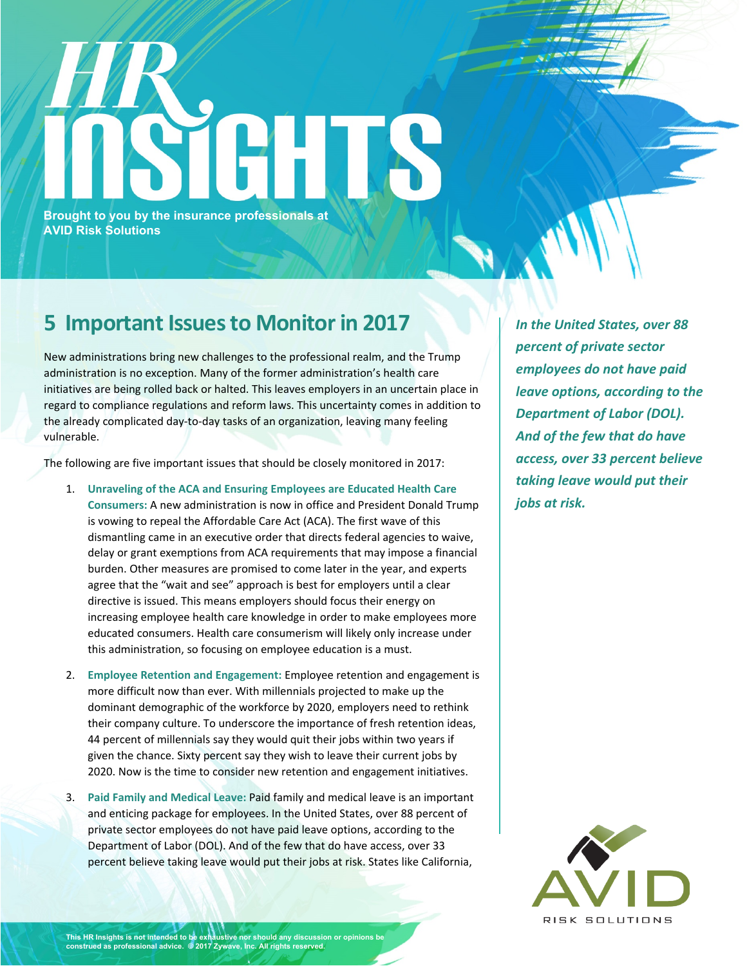## **Brought to you by the insurance professionals at AVID Risk Solutions**

## **5 Important Issuesto Monitorin 2017**

New administrations bring new challenges to the professional realm, and the Trump administration is no exception. Many of the former administration's health care initiatives are being rolled back or halted. This leaves employers in an uncertain place in regard to compliance regulations and reform laws. This uncertainty comes in addition to the already complicated day-to-day tasks of an organization, leaving many feeling vulnerable.

The following are five important issues that should be closely monitored in 2017:

- 1. **Unraveling of the ACA and Ensuring Employees are Educated Health Care Consumers:** A new administration is now in office and President Donald Trump is vowing to repeal the Affordable Care Act (ACA). The first wave of this dismantling came in an executive order that directs federal agencies to waive, delay or grant exemptions from ACA requirements that may impose a financial burden. Other measures are promised to come later in the year, and experts agree that the "wait and see" approach is best for employers until a clear directive is issued. This means employers should focus their energy on increasing employee health care knowledge in order to make employees more educated consumers. Health care consumerism will likely only increase under this administration, so focusing on employee education is a must.
- 2. **Employee Retention and Engagement:** Employee retention and engagement is more difficult now than ever. With millennials projected to make up the dominant demographic of the workforce by 2020, employers need to rethink their company culture. To underscore the importance of fresh retention ideas, 44 percent of millennials say they would quit their jobs within two years if given the chance. Sixty percent say they wish to leave their current jobs by 2020. Now is the time to consider new retention and engagement initiatives.
- 3. **Paid Family and Medical Leave:** Paid family and medical leave is an important and enticing package for employees. In the United States, over 88 percent of private sector employees do not have paid leave options, according to the Department of Labor (DOL). And of the few that do have access, over 33 percent believe taking leave would put their jobs at risk. States like California,

*In the United States, over 88 percent of private sector employees do not have paid leave options, according to the Department of Labor (DOL). And of the few that do have access, over 33 percent believe taking leave would put their jobs at risk.*



**This HR Insights is not intended to be exhaustive nor should any discussion or opinions be construed as professional advice. © 2017 Zywave, Inc. All rights reserved.**